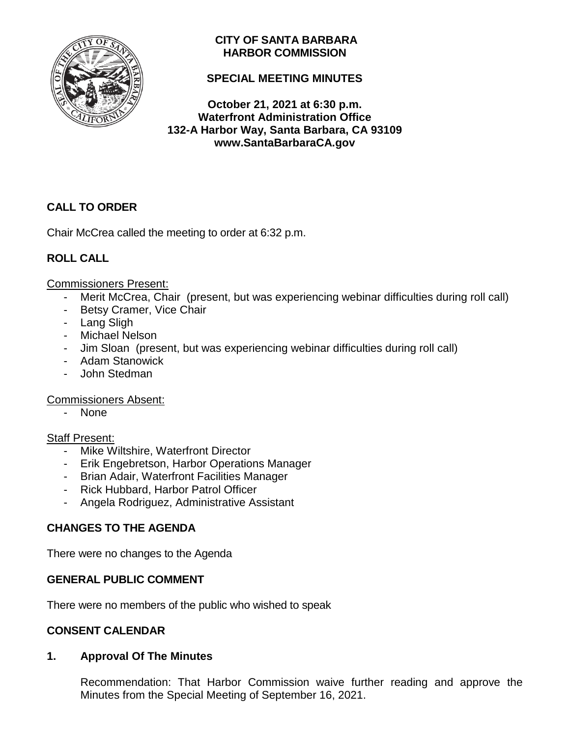

# **CITY OF SANTA BARBARA HARBOR COMMISSION**

# **SPECIAL MEETING MINUTES**

**October 21, 2021 at 6:30 p.m. Waterfront Administration Office 132-A Harbor Way, Santa Barbara, CA 93109 www.SantaBarbaraCA.gov**

# **CALL TO ORDER**

Chair McCrea called the meeting to order at 6:32 p.m.

# **ROLL CALL**

### Commissioners Present:

- Merit McCrea, Chair (present, but was experiencing webinar difficulties during roll call)
- Betsy Cramer, Vice Chair
- Lang Sligh
- Michael Nelson
- Jim Sloan (present, but was experiencing webinar difficulties during roll call)
- Adam Stanowick
- John Stedman

### Commissioners Absent:

- None

### Staff Present:

- Mike Wiltshire, Waterfront Director
- Erik Engebretson, Harbor Operations Manager
- Brian Adair, Waterfront Facilities Manager
- Rick Hubbard, Harbor Patrol Officer
- Angela Rodriguez, Administrative Assistant

# **CHANGES TO THE AGENDA**

There were no changes to the Agenda

# **GENERAL PUBLIC COMMENT**

There were no members of the public who wished to speak

### **CONSENT CALENDAR**

# **1. Approval Of The Minutes**

Recommendation: That Harbor Commission waive further reading and approve the Minutes from the Special Meeting of September 16, 2021.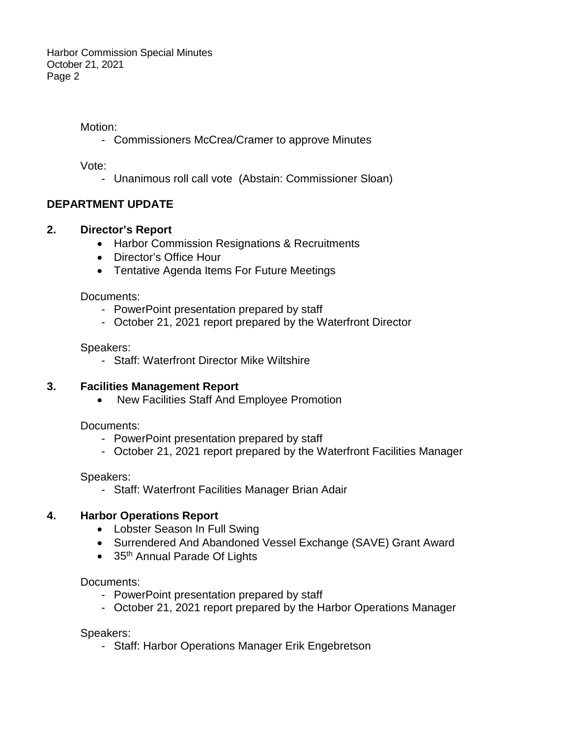Motion:

- Commissioners McCrea/Cramer to approve Minutes

Vote:

- Unanimous roll call vote (Abstain: Commissioner Sloan)

## **DEPARTMENT UPDATE**

### **2. Director's Report**

- Harbor Commission Resignations & Recruitments
- Director's Office Hour
- Tentative Agenda Items For Future Meetings

Documents:

- PowerPoint presentation prepared by staff
- October 21, 2021 report prepared by the Waterfront Director

Speakers:

- Staff: Waterfront Director Mike Wiltshire

### **3. Facilities Management Report**

• New Facilities Staff And Employee Promotion

Documents:

- PowerPoint presentation prepared by staff
- October 21, 2021 report prepared by the Waterfront Facilities Manager

Speakers:

- Staff: Waterfront Facilities Manager Brian Adair

### **4. Harbor Operations Report**

- Lobster Season In Full Swing
- Surrendered And Abandoned Vessel Exchange (SAVE) Grant Award
- 35<sup>th</sup> Annual Parade Of Lights

Documents:

- PowerPoint presentation prepared by staff
- October 21, 2021 report prepared by the Harbor Operations Manager

Speakers:

- Staff: Harbor Operations Manager Erik Engebretson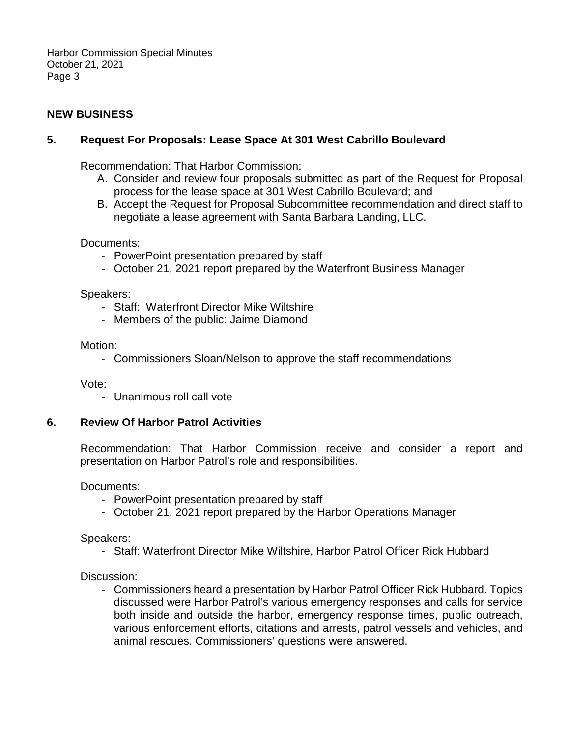Harbor Commission Special Minutes October 21, 2021 Page 3

## **NEW BUSINESS**

## **5. Request For Proposals: Lease Space At 301 West Cabrillo Boulevard**

Recommendation: That Harbor Commission:

- A. Consider and review four proposals submitted as part of the Request for Proposal process for the lease space at 301 West Cabrillo Boulevard; and
- B. Accept the Request for Proposal Subcommittee recommendation and direct staff to negotiate a lease agreement with Santa Barbara Landing, LLC.

Documents:

- PowerPoint presentation prepared by staff
- October 21, 2021 report prepared by the Waterfront Business Manager

Speakers:

- Staff: Waterfront Director Mike Wiltshire
- Members of the public: Jaime Diamond

Motion:

- Commissioners Sloan/Nelson to approve the staff recommendations

Vote:

- Unanimous roll call vote

### **6. Review Of Harbor Patrol Activities**

Recommendation: That Harbor Commission receive and consider a report and presentation on Harbor Patrol's role and responsibilities.

Documents:

- PowerPoint presentation prepared by staff
- October 21, 2021 report prepared by the Harbor Operations Manager

Speakers:

- Staff: Waterfront Director Mike Wiltshire, Harbor Patrol Officer Rick Hubbard

Discussion:

- Commissioners heard a presentation by Harbor Patrol Officer Rick Hubbard. Topics discussed were Harbor Patrol's various emergency responses and calls for service both inside and outside the harbor, emergency response times, public outreach, various enforcement efforts, citations and arrests, patrol vessels and vehicles, and animal rescues. Commissioners' questions were answered.